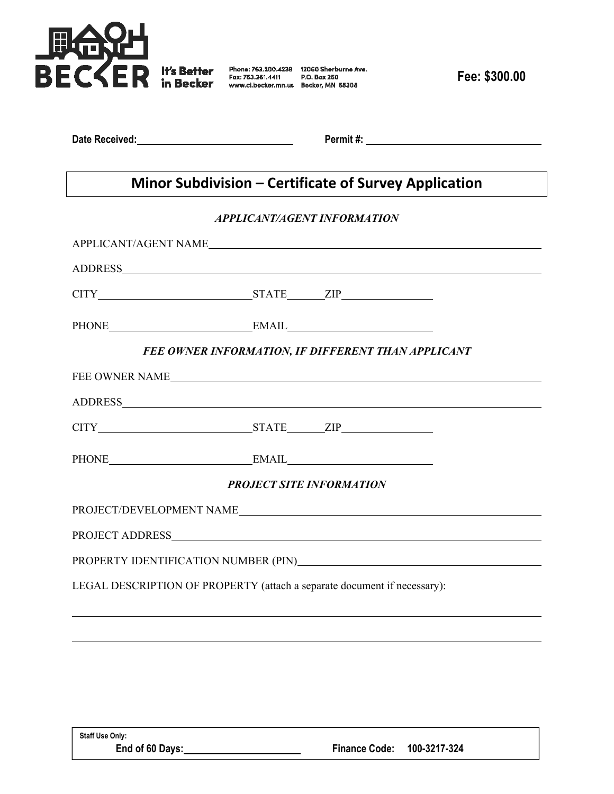

**Date Received:** 2008. **Permit #:** 2008. **Permit #:** 2008. **Permit #:** 2008. **Permit #:** 2008. **Permit #:** 2008. **Permit #:** 2008. **Permit #:** 2008. **Permit #:** 2008. **Permit #:** 2008. **Permit #:** 2008. **Permit #:** 2008.

## **Minor Subdivision – Certificate of Survey Application**

## *APPLICANT/AGENT INFORMATION*

| PHONE EMAIL EMAIL                                                                                                                                                                                                               |  |  |  |
|---------------------------------------------------------------------------------------------------------------------------------------------------------------------------------------------------------------------------------|--|--|--|
| FEE OWNER INFORMATION, IF DIFFERENT THAN APPLICANT                                                                                                                                                                              |  |  |  |
|                                                                                                                                                                                                                                 |  |  |  |
|                                                                                                                                                                                                                                 |  |  |  |
| CITY STATE ZIP                                                                                                                                                                                                                  |  |  |  |
|                                                                                                                                                                                                                                 |  |  |  |
| <b>PROJECT SITE INFORMATION</b>                                                                                                                                                                                                 |  |  |  |
|                                                                                                                                                                                                                                 |  |  |  |
|                                                                                                                                                                                                                                 |  |  |  |
| PROPERTY IDENTIFICATION NUMBER (PIN)<br>The Second Property in the Second Property in the Second Property in the Second Property in the Second Property in the Second Property in the Second Property in the Second Property in |  |  |  |
| LEGAL DESCRIPTION OF PROPERTY (attach a separate document if necessary):                                                                                                                                                        |  |  |  |
|                                                                                                                                                                                                                                 |  |  |  |